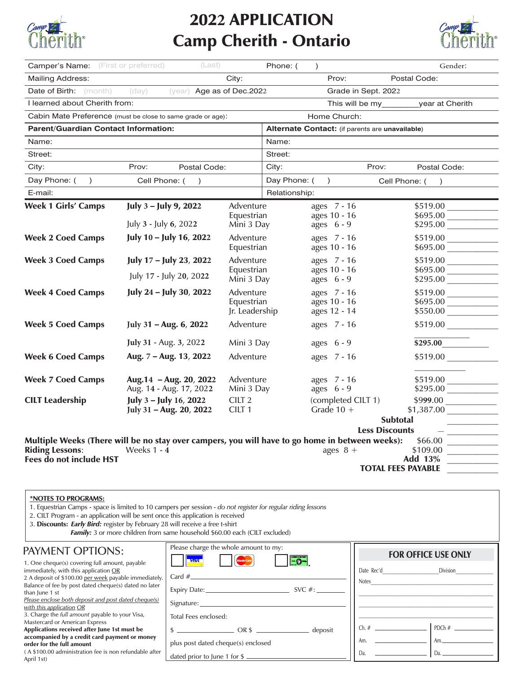

## 202**2** APPLICATION **Examp Cherith - Ontario Examp Cherith**<sup>®</sup>



| <b>Camper's Name:</b> (First or preferred)                                                                 | (Last)                                                      |                                        | Phone: (      | $\lambda$                                       |                           | Gender:              |
|------------------------------------------------------------------------------------------------------------|-------------------------------------------------------------|----------------------------------------|---------------|-------------------------------------------------|---------------------------|----------------------|
| <b>Mailing Address:</b>                                                                                    |                                                             | City:                                  |               | Prov:                                           |                           | Postal Code:         |
| <b>Date of Birth:</b> (month)                                                                              | (year) Age as of Dec.2022<br>(day)                          |                                        |               |                                                 | Grade in Sept. 2022       |                      |
| I learned about Cherith from:                                                                              |                                                             |                                        |               |                                                 | This will be my           | year at Cherith      |
|                                                                                                            | Cabin Mate Preference (must be close to same grade or age): |                                        |               | Home Church:                                    |                           |                      |
| <b>Parent/Guardian Contact Information:</b>                                                                |                                                             |                                        |               | Alternate Contact: (if parents are unavailable) |                           |                      |
| Name:                                                                                                      |                                                             |                                        | Name:         |                                                 |                           |                      |
| Street:                                                                                                    |                                                             |                                        | Street:       |                                                 |                           |                      |
| City:                                                                                                      | Prov:<br>Postal Code:                                       |                                        | City:         |                                                 | Prov:                     | Postal Code:         |
| Day Phone: (<br>$\lambda$                                                                                  | Cell Phone: (<br>$\lambda$                                  |                                        | Day Phone: (  | $\lambda$                                       | Cell Phone: (             | $\rightarrow$        |
| E-mail:                                                                                                    |                                                             |                                        | Relationship: |                                                 |                           |                      |
| <b>Week 1 Girls' Camps</b>                                                                                 | July 3 - July 9, 2022                                       | Adventure                              |               | ages 7 - 16                                     |                           | $$519.00$ $\qquad$   |
|                                                                                                            | July 3 - July 6, 2022                                       | Equestrian<br>Mini 3 Day               |               | ages 10 - 16<br>ages $6 - 9$                    |                           | \$695.00<br>\$295.00 |
|                                                                                                            |                                                             |                                        |               |                                                 |                           |                      |
| <b>Week 2 Coed Camps</b>                                                                                   | July 10 - July 16, 2022                                     | Adventure<br>Equestrian                |               | ages 7 - 16<br>ages 10 - 16                     |                           | \$519.00             |
| <b>Week 3 Coed Camps</b>                                                                                   | July 17 - July 23, 2022                                     | Adventure                              |               | ages 7 - 16                                     |                           | \$519.00             |
|                                                                                                            |                                                             | Equestrian                             |               | ages 10 - 16                                    |                           | \$695.00             |
|                                                                                                            | July 17 - July 20, 2022                                     | Mini 3 Day                             |               | ages $6 - 9$                                    |                           |                      |
| <b>Week 4 Coed Camps</b>                                                                                   | July 24 - July 30, 2022                                     | Adventure                              |               | ages 7 - 16                                     |                           |                      |
|                                                                                                            |                                                             | Equestrian                             |               | ages 10 - 16                                    |                           | \$695.00<br>\$550.00 |
|                                                                                                            |                                                             | Jr. Leadership                         |               | ages 12 - 14                                    |                           |                      |
| <b>Week 5 Coed Camps</b>                                                                                   | July 31 - Aug. 6, 2022                                      | Adventure                              |               | ages 7 - 16                                     |                           |                      |
|                                                                                                            | July 31 - Aug. 3, 2022                                      | Mini 3 Day                             |               | ages $6 - 9$                                    |                           | \$295.00             |
| <b>Week 6 Coed Camps</b>                                                                                   | Aug. 7 - Aug. 13, 2022                                      | Adventure                              |               | ages 7 - 16                                     |                           |                      |
| <b>Week 7 Coed Camps</b>                                                                                   | Aug. 14 - Aug. 20, 2022                                     | Adventure                              |               | ages 7 - 16                                     |                           |                      |
|                                                                                                            | Aug. 14 - Aug. 17, 2022                                     | Mini 3 Day                             |               | ages $6 - 9$                                    |                           |                      |
| <b>CILT Leadership</b>                                                                                     | July 3 - July 16, 2022                                      | CILT <sub>2</sub><br>CILT <sub>1</sub> |               | (completed CILT 1)<br>Grade $10 +$              |                           |                      |
|                                                                                                            | July 31 - Aug. 20, 2022                                     |                                        |               |                                                 | <b>Subtotal</b>           |                      |
|                                                                                                            |                                                             |                                        |               |                                                 | <b>Less Discounts</b>     |                      |
| Multiple Weeks (There will be no stay over campers, you will have to go home in between weeks):<br>\$66.00 |                                                             |                                        |               |                                                 |                           |                      |
| <b>Riding Lessons:</b>                                                                                     | Weeks $1 - 4$                                               |                                        |               | ages $8 +$                                      |                           | \$109.00             |
| Fees do not include HST                                                                                    |                                                             |                                        |               |                                                 |                           | Add 13%              |
|                                                                                                            |                                                             |                                        |               |                                                 | <b>TOTAL FEES PAYABLE</b> |                      |

## \*NOTES TO PROGRAMS:

1. Equestrian Camps - space is limited to 10 campers per session - *do not register for regular riding lessons*

2. CILT Program - an application will be sent once this application is received

3. Discounts: *Early Bird:* register by February 28 will receive a free t-shirt

*Family:* 3 or more children from same household \$60.00 each (CILT excluded)

## PAYMENT OPTIONS:

1. One cheque(s) covering full amount, payable immediately, with this application OR 2 A deposit of \$100.00 per week payable immediate Balance of fee by post dated cheque(s) dated no later than June 1 st

*Please enclose both deposit and post dated cheque(s) with this application OR*

3. Charge the *full amount* payable to your Visa, Mastercard or American Express

Applications received after June 1st must be accompanied by a credit card payment or money order for the full amount

( A \$100.00 administration fee is non refundable after April 1st)

|     | Please charge the whole amount to my:                                                                                                                                                                                                                                                                               |           |
|-----|---------------------------------------------------------------------------------------------------------------------------------------------------------------------------------------------------------------------------------------------------------------------------------------------------------------------|-----------|
|     | <b>MasterCard</b><br><b>VIST</b>                                                                                                                                                                                                                                                                                    |           |
| ly. |                                                                                                                                                                                                                                                                                                                     | Date Re   |
| r   | SVC $#$ :                                                                                                                                                                                                                                                                                                           | Notes     |
|     | Signature:                                                                                                                                                                                                                                                                                                          |           |
|     | Total Fees enclosed:                                                                                                                                                                                                                                                                                                |           |
|     | $\frac{1}{2}$ $\frac{1}{2}$ $\frac{1}{2}$ $\frac{1}{2}$ $\frac{1}{2}$ $\frac{1}{2}$ $\frac{1}{2}$ $\frac{1}{2}$ $\frac{1}{2}$ $\frac{1}{2}$ $\frac{1}{2}$ $\frac{1}{2}$ $\frac{1}{2}$ $\frac{1}{2}$ $\frac{1}{2}$ $\frac{1}{2}$ $\frac{1}{2}$ $\frac{1}{2}$ $\frac{1}{2}$ $\frac{1}{2}$ $\frac{1}{2}$ $\frac{1}{2}$ | Ch. $#$   |
|     | plus post dated cheque(s) enclosed                                                                                                                                                                                                                                                                                  | Am.<br>l, |
| эr  | dated prior to June 1 for \$                                                                                                                                                                                                                                                                                        | Da.       |

| <b>FOR OFFICE USE ONLY</b>                                                   |                              |  |  |  |  |  |
|------------------------------------------------------------------------------|------------------------------|--|--|--|--|--|
|                                                                              | Division                     |  |  |  |  |  |
| Notes $\frac{1}{2}$<br><u> 1980 - Johann Barn, fransk politik fotograf (</u> |                              |  |  |  |  |  |
|                                                                              |                              |  |  |  |  |  |
|                                                                              |                              |  |  |  |  |  |
|                                                                              |                              |  |  |  |  |  |
| Am. $\qquad \qquad$                                                          | Am. $\overline{\phantom{a}}$ |  |  |  |  |  |
| $\overline{a}$<br><u> 1989 - John Stone, amerikansk politiker (</u><br>Da.   |                              |  |  |  |  |  |